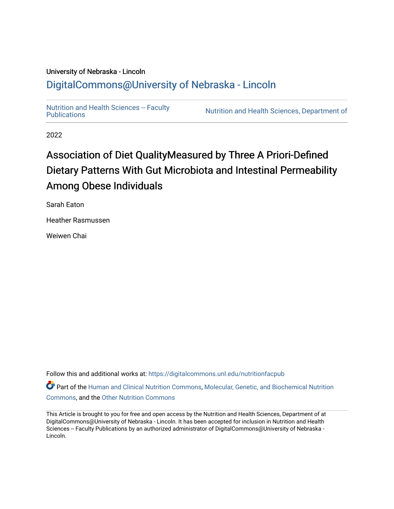## University of Nebraska - Lincoln [DigitalCommons@University of Nebraska - Lincoln](https://digitalcommons.unl.edu/)

Nutrition and Health Sciences -- Faculty<br>Publications

Nutrition and Health Sciences, Department of

2022

## Association of Diet QualityMeasured by Three A Priori-Defined Dietary Patterns With Gut Microbiota and Intestinal Permeability Among Obese Individuals

Sarah Eaton

Heather Rasmussen

Weiwen Chai

Follow this and additional works at: [https://digitalcommons.unl.edu/nutritionfacpub](https://digitalcommons.unl.edu/nutritionfacpub?utm_source=digitalcommons.unl.edu%2Fnutritionfacpub%2F289&utm_medium=PDF&utm_campaign=PDFCoverPages) 

Part of the [Human and Clinical Nutrition Commons](https://network.bepress.com/hgg/discipline/97?utm_source=digitalcommons.unl.edu%2Fnutritionfacpub%2F289&utm_medium=PDF&utm_campaign=PDFCoverPages), Molecular, Genetic, and Biochemical Nutrition [Commons](https://network.bepress.com/hgg/discipline/99?utm_source=digitalcommons.unl.edu%2Fnutritionfacpub%2F289&utm_medium=PDF&utm_campaign=PDFCoverPages), and the [Other Nutrition Commons](https://network.bepress.com/hgg/discipline/101?utm_source=digitalcommons.unl.edu%2Fnutritionfacpub%2F289&utm_medium=PDF&utm_campaign=PDFCoverPages)

This Article is brought to you for free and open access by the Nutrition and Health Sciences, Department of at DigitalCommons@University of Nebraska - Lincoln. It has been accepted for inclusion in Nutrition and Health Sciences -- Faculty Publications by an authorized administrator of DigitalCommons@University of Nebraska -Lincoln.